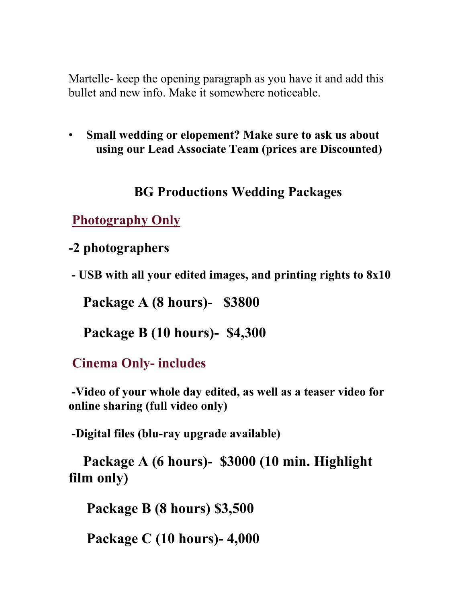Martelle- keep the opening paragraph as you have it and add this bullet and new info. Make it somewhere noticeable.

• **Small wedding or elopement? Make sure to ask us about using our Lead Associate Team (prices are Discounted)**

## **BG Productions Wedding Packages**

**Photography Only**

**-2 photographers**

**- USB with all your edited images, and printing rights to 8x10**

**Package A (8 hours)- \$3800** 

**Package B (10 hours)- \$4,300**

**Cinema Only- includes**

**-Video of your whole day edited, as well as a teaser video for online sharing (full video only)**

**-Digital files (blu-ray upgrade available)**

 **Package A (6 hours)- \$3000 (10 min. Highlight film only)**

 **Package B (8 hours) \$3,500**

 **Package C (10 hours)- 4,000**